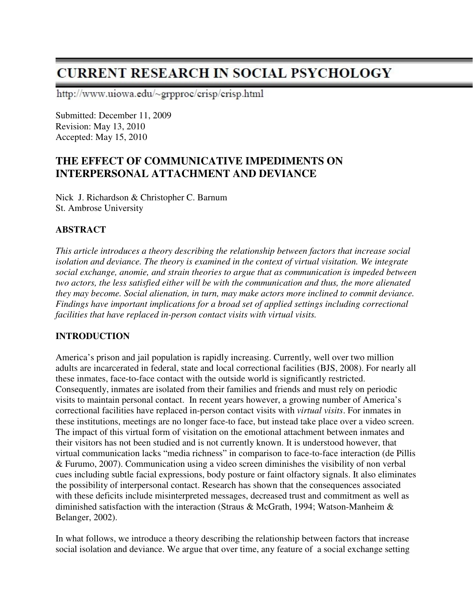# **CURRENT RESEARCH IN SOCIAL PSYCHOLOGY**

http://www.uiowa.edu/~grpproc/crisp/crisp.html

Submitted: December 11, 2009 Revision: May 13, 2010 Accepted: May 15, 2010

## **THE EFFECT OF COMMUNICATIVE IMPEDIMENTS ON INTERPERSONAL ATTACHMENT AND DEVIANCE**

Nick J. Richardson & Christopher C. Barnum St. Ambrose University

#### **ABSTRACT**

*This article introduces a theory describing the relationship between factors that increase social isolation and deviance. The theory is examined in the context of virtual visitation. We integrate social exchange, anomie, and strain theories to argue that as communication is impeded between two actors, the less satisfied either will be with the communication and thus, the more alienated they may become. Social alienation, in turn, may make actors more inclined to commit deviance. Findings have important implications for a broad set of applied settings including correctional facilities that have replaced in-person contact visits with virtual visits.* 

#### **INTRODUCTION**

America's prison and jail population is rapidly increasing. Currently, well over two million adults are incarcerated in federal, state and local correctional facilities (BJS, 2008). For nearly all these inmates, face-to-face contact with the outside world is significantly restricted. Consequently, inmates are isolated from their families and friends and must rely on periodic visits to maintain personal contact. In recent years however, a growing number of America's correctional facilities have replaced in-person contact visits with *virtual visits*. For inmates in these institutions, meetings are no longer face-to face, but instead take place over a video screen. The impact of this virtual form of visitation on the emotional attachment between inmates and their visitors has not been studied and is not currently known. It is understood however, that virtual communication lacks "media richness" in comparison to face-to-face interaction (de Pillis & Furumo, 2007). Communication using a video screen diminishes the visibility of non verbal cues including subtle facial expressions, body posture or faint olfactory signals. It also eliminates the possibility of interpersonal contact. Research has shown that the consequences associated with these deficits include misinterpreted messages, decreased trust and commitment as well as diminished satisfaction with the interaction (Straus & McGrath, 1994; Watson-Manheim & Belanger, 2002).

In what follows, we introduce a theory describing the relationship between factors that increase social isolation and deviance. We argue that over time, any feature of a social exchange setting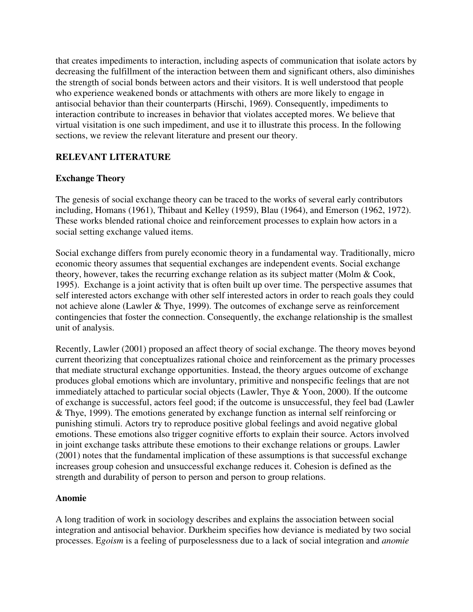that creates impediments to interaction, including aspects of communication that isolate actors by decreasing the fulfillment of the interaction between them and significant others, also diminishes the strength of social bonds between actors and their visitors. It is well understood that people who experience weakened bonds or attachments with others are more likely to engage in antisocial behavior than their counterparts (Hirschi, 1969). Consequently, impediments to interaction contribute to increases in behavior that violates accepted mores. We believe that virtual visitation is one such impediment, and use it to illustrate this process. In the following sections, we review the relevant literature and present our theory.

#### **RELEVANT LITERATURE**

#### **Exchange Theory**

The genesis of social exchange theory can be traced to the works of several early contributors including, Homans (1961), Thibaut and Kelley (1959), Blau (1964), and Emerson (1962, 1972). These works blended rational choice and reinforcement processes to explain how actors in a social setting exchange valued items.

Social exchange differs from purely economic theory in a fundamental way. Traditionally, micro economic theory assumes that sequential exchanges are independent events. Social exchange theory, however, takes the recurring exchange relation as its subject matter (Molm & Cook, 1995). Exchange is a joint activity that is often built up over time. The perspective assumes that self interested actors exchange with other self interested actors in order to reach goals they could not achieve alone (Lawler & Thye, 1999). The outcomes of exchange serve as reinforcement contingencies that foster the connection. Consequently, the exchange relationship is the smallest unit of analysis.

Recently, Lawler (2001) proposed an affect theory of social exchange. The theory moves beyond current theorizing that conceptualizes rational choice and reinforcement as the primary processes that mediate structural exchange opportunities. Instead, the theory argues outcome of exchange produces global emotions which are involuntary, primitive and nonspecific feelings that are not immediately attached to particular social objects (Lawler, Thye & Yoon, 2000). If the outcome of exchange is successful, actors feel good; if the outcome is unsuccessful, they feel bad (Lawler & Thye, 1999). The emotions generated by exchange function as internal self reinforcing or punishing stimuli. Actors try to reproduce positive global feelings and avoid negative global emotions. These emotions also trigger cognitive efforts to explain their source. Actors involved in joint exchange tasks attribute these emotions to their exchange relations or groups. Lawler (2001) notes that the fundamental implication of these assumptions is that successful exchange increases group cohesion and unsuccessful exchange reduces it. Cohesion is defined as the strength and durability of person to person and person to group relations.

#### **Anomie**

A long tradition of work in sociology describes and explains the association between social integration and antisocial behavior. Durkheim specifies how deviance is mediated by two social processes. E*goism* is a feeling of purposelessness due to a lack of social integration and *anomie*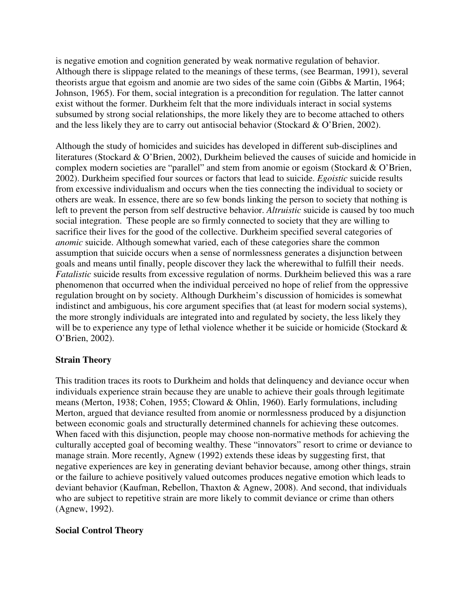is negative emotion and cognition generated by weak normative regulation of behavior. Although there is slippage related to the meanings of these terms, (see Bearman, 1991), several theorists argue that egoism and anomie are two sides of the same coin (Gibbs & Martin, 1964; Johnson, 1965). For them, social integration is a precondition for regulation. The latter cannot exist without the former. Durkheim felt that the more individuals interact in social systems subsumed by strong social relationships, the more likely they are to become attached to others and the less likely they are to carry out antisocial behavior (Stockard & O'Brien, 2002).

Although the study of homicides and suicides has developed in different sub-disciplines and literatures (Stockard & O'Brien, 2002), Durkheim believed the causes of suicide and homicide in complex modern societies are "parallel" and stem from anomie or egoism (Stockard & O'Brien, 2002). Durkheim specified four sources or factors that lead to suicide. *Egoistic* suicide results from excessive individualism and occurs when the ties connecting the individual to society or others are weak. In essence, there are so few bonds linking the person to society that nothing is left to prevent the person from self destructive behavior. *Altruistic* suicide is caused by too much social integration. These people are so firmly connected to society that they are willing to sacrifice their lives for the good of the collective. Durkheim specified several categories of *anomic* suicide. Although somewhat varied, each of these categories share the common assumption that suicide occurs when a sense of normlessness generates a disjunction between goals and means until finally, people discover they lack the wherewithal to fulfill their needs. *Fatalistic* suicide results from excessive regulation of norms. Durkheim believed this was a rare phenomenon that occurred when the individual perceived no hope of relief from the oppressive regulation brought on by society. Although Durkheim's discussion of homicides is somewhat indistinct and ambiguous, his core argument specifies that (at least for modern social systems), the more strongly individuals are integrated into and regulated by society, the less likely they will be to experience any type of lethal violence whether it be suicide or homicide (Stockard & O'Brien, 2002).

#### **Strain Theory**

This tradition traces its roots to Durkheim and holds that delinquency and deviance occur when individuals experience strain because they are unable to achieve their goals through legitimate means (Merton, 1938; Cohen, 1955; Cloward & Ohlin, 1960). Early formulations, including Merton, argued that deviance resulted from anomie or normlessness produced by a disjunction between economic goals and structurally determined channels for achieving these outcomes. When faced with this disjunction, people may choose non-normative methods for achieving the culturally accepted goal of becoming wealthy. These "innovators" resort to crime or deviance to manage strain. More recently, Agnew (1992) extends these ideas by suggesting first, that negative experiences are key in generating deviant behavior because, among other things, strain or the failure to achieve positively valued outcomes produces negative emotion which leads to deviant behavior (Kaufman, Rebellon, Thaxton & Agnew, 2008). And second, that individuals who are subject to repetitive strain are more likely to commit deviance or crime than others (Agnew, 1992).

#### **Social Control Theory**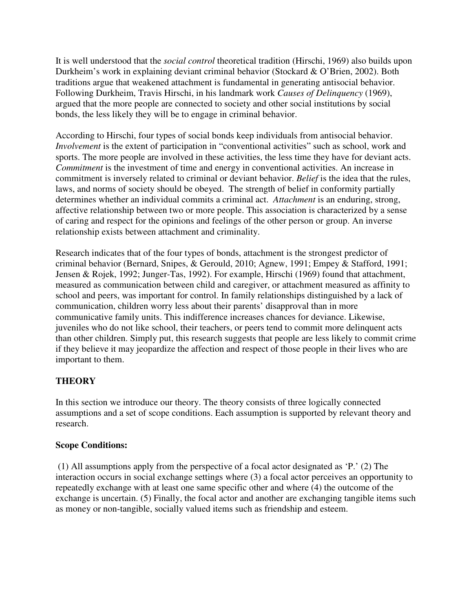It is well understood that the *social control* theoretical tradition (Hirschi, 1969) also builds upon Durkheim's work in explaining deviant criminal behavior (Stockard & O'Brien, 2002). Both traditions argue that weakened attachment is fundamental in generating antisocial behavior. Following Durkheim, Travis Hirschi, in his landmark work *Causes of Delinquency* (1969), argued that the more people are connected to society and other social institutions by social bonds, the less likely they will be to engage in criminal behavior.

According to Hirschi, four types of social bonds keep individuals from antisocial behavior. *Involvement* is the extent of participation in "conventional activities" such as school, work and sports. The more people are involved in these activities, the less time they have for deviant acts. *Commitment* is the investment of time and energy in conventional activities. An increase in commitment is inversely related to criminal or deviant behavior. *Belief* is the idea that the rules, laws, and norms of society should be obeyed. The strength of belief in conformity partially determines whether an individual commits a criminal act. *Attachment* is an enduring, strong, affective relationship between two or more people. This association is characterized by a sense of caring and respect for the opinions and feelings of the other person or group. An inverse relationship exists between attachment and criminality.

Research indicates that of the four types of bonds, attachment is the strongest predictor of criminal behavior (Bernard, Snipes, & Gerould, 2010; Agnew, 1991; Empey & Stafford, 1991; Jensen & Rojek, 1992; Junger-Tas, 1992). For example, Hirschi (1969) found that attachment, measured as communication between child and caregiver, or attachment measured as affinity to school and peers, was important for control. In family relationships distinguished by a lack of communication, children worry less about their parents' disapproval than in more communicative family units. This indifference increases chances for deviance. Likewise, juveniles who do not like school, their teachers, or peers tend to commit more delinquent acts than other children. Simply put, this research suggests that people are less likely to commit crime if they believe it may jeopardize the affection and respect of those people in their lives who are important to them.

### **THEORY**

In this section we introduce our theory. The theory consists of three logically connected assumptions and a set of scope conditions. Each assumption is supported by relevant theory and research.

#### **Scope Conditions:**

(1) All assumptions apply from the perspective of a focal actor designated as 'P.' (2) The interaction occurs in social exchange settings where (3) a focal actor perceives an opportunity to repeatedly exchange with at least one same specific other and where (4) the outcome of the exchange is uncertain. (5) Finally, the focal actor and another are exchanging tangible items such as money or non-tangible, socially valued items such as friendship and esteem.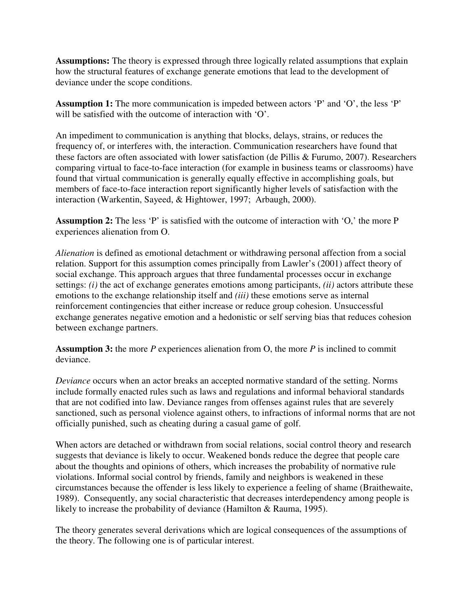**Assumptions:** The theory is expressed through three logically related assumptions that explain how the structural features of exchange generate emotions that lead to the development of deviance under the scope conditions.

**Assumption 1:** The more communication is impeded between actors 'P' and 'O', the less 'P' will be satisfied with the outcome of interaction with 'O'.

An impediment to communication is anything that blocks, delays, strains, or reduces the frequency of, or interferes with, the interaction. Communication researchers have found that these factors are often associated with lower satisfaction (de Pillis & Furumo, 2007). Researchers comparing virtual to face-to-face interaction (for example in business teams or classrooms) have found that virtual communication is generally equally effective in accomplishing goals, but members of face-to-face interaction report significantly higher levels of satisfaction with the interaction (Warkentin, Sayeed, & Hightower, 1997; Arbaugh, 2000).

**Assumption 2:** The less 'P' is satisfied with the outcome of interaction with 'O,' the more P experiences alienation from O.

*Alienation* is defined as emotional detachment or withdrawing personal affection from a social relation. Support for this assumption comes principally from Lawler's (2001) affect theory of social exchange. This approach argues that three fundamental processes occur in exchange settings: *(i)* the act of exchange generates emotions among participants, *(ii)* actors attribute these emotions to the exchange relationship itself and *(iii)* these emotions serve as internal reinforcement contingencies that either increase or reduce group cohesion. Unsuccessful exchange generates negative emotion and a hedonistic or self serving bias that reduces cohesion between exchange partners.

**Assumption 3:** the more *P* experiences alienation from O, the more *P* is inclined to commit deviance.

*Deviance* occurs when an actor breaks an accepted normative standard of the setting. Norms include formally enacted rules such as laws and regulations and informal behavioral standards that are not codified into law. Deviance ranges from offenses against rules that are severely sanctioned, such as personal violence against others, to infractions of informal norms that are not officially punished, such as cheating during a casual game of golf.

When actors are detached or withdrawn from social relations, social control theory and research suggests that deviance is likely to occur. Weakened bonds reduce the degree that people care about the thoughts and opinions of others, which increases the probability of normative rule violations. Informal social control by friends, family and neighbors is weakened in these circumstances because the offender is less likely to experience a feeling of shame (Braithewaite, 1989). Consequently, any social characteristic that decreases interdependency among people is likely to increase the probability of deviance (Hamilton & Rauma, 1995).

The theory generates several derivations which are logical consequences of the assumptions of the theory. The following one is of particular interest.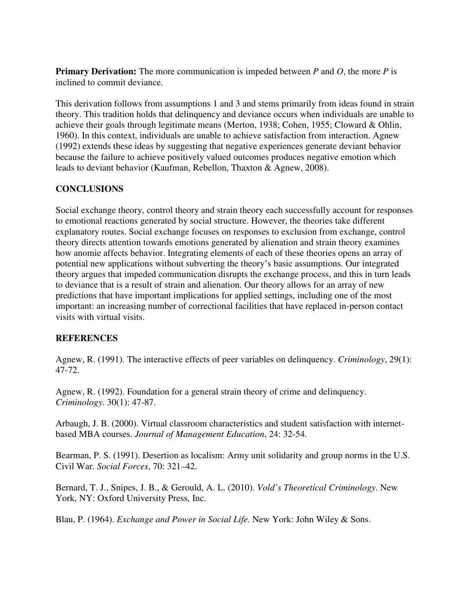**Primary Derivation:** The more communication is impeded between *P* and *O*, the more *P* is inclined to commit deviance.

This derivation follows from assumptions 1 and 3 and stems primarily from ideas found in strain theory. This tradition holds that delinquency and deviance occurs when individuals are unable to achieve their goals through legitimate means (Merton, 1938; Cohen, 1955; Cloward & Ohlin, 1960). In this context, individuals are unable to achieve satisfaction from interaction. Agnew (1992) extends these ideas by suggesting that negative experiences generate deviant behavior because the failure to achieve positively valued outcomes produces negative emotion which leads to deviant behavior (Kaufman, Rebellon, Thaxton & Agnew, 2008).

#### **CONCLUSIONS**

Social exchange theory, control theory and strain theory each successfully account for responses to emotional reactions generated by social structure. However, the theories take different explanatory routes. Social exchange focuses on responses to exclusion from exchange, control theory directs attention towards emotions generated by alienation and strain theory examines how anomie affects behavior. Integrating elements of each of these theories opens an array of potential new applications without subverting the theory's basic assumptions. Our integrated theory argues that impeded communication disrupts the exchange process, and this in turn leads to deviance that is a result of strain and alienation. Our theory allows for an array of new predictions that have important implications for applied settings, including one of the most important: an increasing number of correctional facilities that have replaced in-person contact visits with virtual visits.

#### **REFERENCES**

Agnew, R. (1991). The interactive effects of peer variables on delinquency. *Criminology*, 29(1): 47-72.

Agnew, R. (1992). Foundation for a general strain theory of crime and delinquency. *Criminology*. 30(1): 47-87.

Arbaugh, J. B. (2000). Virtual classroom characteristics and student satisfaction with internetbased MBA courses. *Journal of Management Education*, 24: 32-54.

Bearman, P. S. (1991). Desertion as localism: Army unit solidarity and group norms in the U.S. Civil War. *Social Forces*, 70: 321–42.

Bernard, T. J., Snipes, J. B., & Gerould, A. L. (2010). *Vold's Theoretical Criminology*. New York, NY: Oxford University Press, Inc.

Blau, P. (1964). *Exchange and Power in Social Life*. New York: John Wiley & Sons.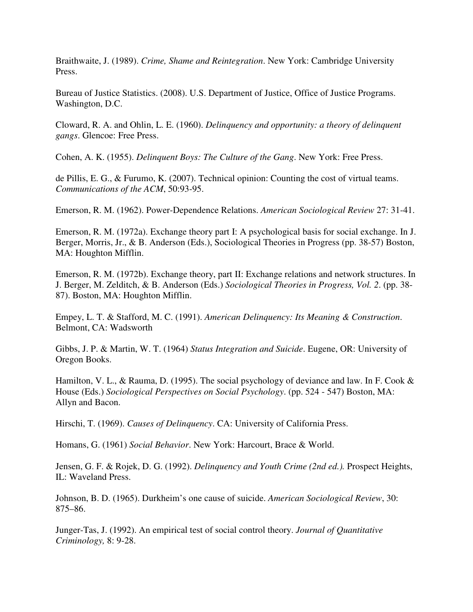Braithwaite, J. (1989). *Crime, Shame and Reintegration*. New York: Cambridge University Press.

Bureau of Justice Statistics. (2008). U.S. Department of Justice, Office of Justice Programs. Washington, D.C.

Cloward, R. A. and Ohlin, L. E. (1960). *Delinquency and opportunity: a theory of delinquent gangs*. Glencoe: Free Press.

Cohen, A. K. (1955). *Delinquent Boys: The Culture of the Gang*. New York: Free Press.

de Pillis, E. G., & Furumo, K. (2007). Technical opinion: Counting the cost of virtual teams. *Communications of the ACM*, 50:93-95.

Emerson, R. M. (1962). Power-Dependence Relations. *American Sociological Review* 27: 31-41.

Emerson, R. M. (1972a). Exchange theory part I: A psychological basis for social exchange. In J. Berger, Morris, Jr., & B. Anderson (Eds.), Sociological Theories in Progress (pp. 38-57) Boston, MA: Houghton Mifflin.

Emerson, R. M. (1972b). Exchange theory, part II: Exchange relations and network structures. In J. Berger, M. Zelditch, & B. Anderson (Eds.) *Sociological Theories in Progress, Vol. 2*. (pp. 38- 87). Boston, MA: Houghton Mifflin.

Empey, L. T. & Stafford, M. C. (1991). *American Delinquency: Its Meaning & Construction*. Belmont, CA: Wadsworth

Gibbs, J. P. & Martin, W. T. (1964) *Status Integration and Suicide*. Eugene, OR: University of Oregon Books.

Hamilton, V. L., & Rauma, D. (1995). The social psychology of deviance and law. In F. Cook & House (Eds.) *Sociological Perspectives on Social Psychology*. (pp. 524 - 547) Boston, MA: Allyn and Bacon.

Hirschi, T. (1969). *Causes of Delinquency*. CA: University of California Press.

Homans, G. (1961) *Social Behavior*. New York: Harcourt, Brace & World.

Jensen, G. F. & Rojek, D. G. (1992). *Delinquency and Youth Crime (2nd ed.).* Prospect Heights, IL: Waveland Press.

Johnson, B. D. (1965). Durkheim's one cause of suicide. *American Sociological Review*, 30: 875–86.

Junger-Tas, J. (1992). An empirical test of social control theory. *Journal of Quantitative Criminology,* 8: 9-28.